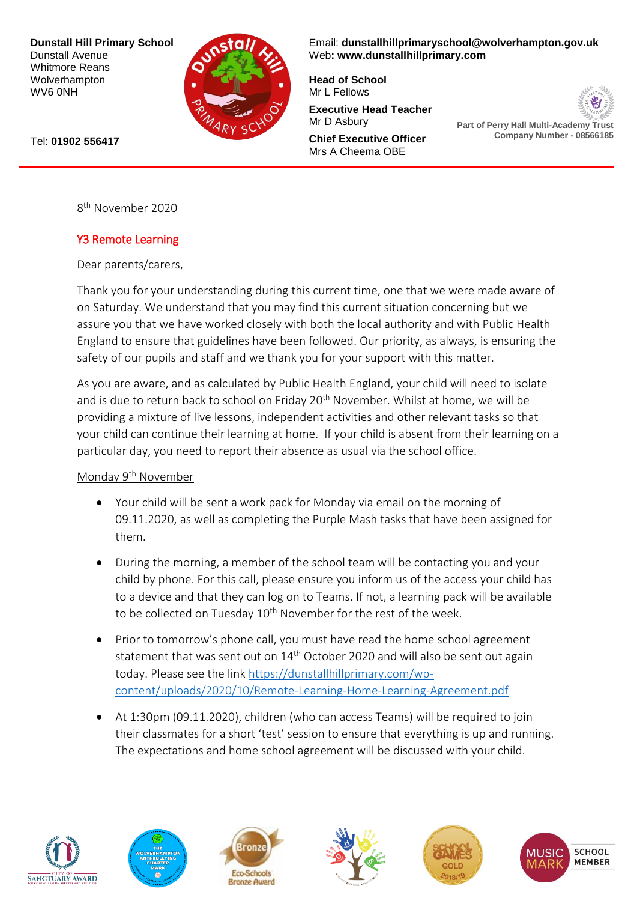**Dunstall Hill Primary School** Dunstall Avenue Whitmore Reans Wolverhampton WV6 0NH



Email: **[dunstallhillprimaryschool@wolverhampton.gov.uk](mailto:dunstallhillprimaryschool@wolverhampton.gov.uk)** Web**: [www.dunstallhillprimary.com](http://www.dunstallhillprimary.com/)**

**Head of School** Mr L Fellows

**Executive Head Teacher** Mr D Asbury

**Chief Executive Officer** Mrs A Cheema OBE



**Part of Perry Hall Multi-Academy Trust Company Number - 08566185**

Tel: **01902 556417**

8 th November 2020

## Y3 Remote Learning

Dear parents/carers,

Thank you for your understanding during this current time, one that we were made aware of on Saturday. We understand that you may find this current situation concerning but we assure you that we have worked closely with both the local authority and with Public Health England to ensure that guidelines have been followed. Our priority, as always, is ensuring the safety of our pupils and staff and we thank you for your support with this matter.

As you are aware, and as calculated by Public Health England, your child will need to isolate and is due to return back to school on Friday 20<sup>th</sup> November. Whilst at home, we will be providing a mixture of live lessons, independent activities and other relevant tasks so that your child can continue their learning at home. If your child is absent from their learning on a particular day, you need to report their absence as usual via the school office.

Monday 9<sup>th</sup> November

- Your child will be sent a work pack for Monday via email on the morning of 09.11.2020, as well as completing the Purple Mash tasks that have been assigned for them.
- During the morning, a member of the school team will be contacting you and your child by phone. For this call, please ensure you inform us of the access your child has to a device and that they can log on to Teams. If not, a learning pack will be available to be collected on Tuesday  $10^{th}$  November for the rest of the week.
- Prior to tomorrow's phone call, you must have read the home school agreement statement that was sent out on 14<sup>th</sup> October 2020 and will also be sent out again today. Please see the link [https://dunstallhillprimary.com/wp](https://dunstallhillprimary.com/wp-content/uploads/2020/10/Remote-Learning-Home-Learning-Agreement.pdf)[content/uploads/2020/10/Remote-Learning-Home-Learning-Agreement.pdf](https://dunstallhillprimary.com/wp-content/uploads/2020/10/Remote-Learning-Home-Learning-Agreement.pdf)
- At 1:30pm (09.11.2020), children (who can access Teams) will be required to join their classmates for a short 'test' session to ensure that everything is up and running. The expectations and home school agreement will be discussed with your child.